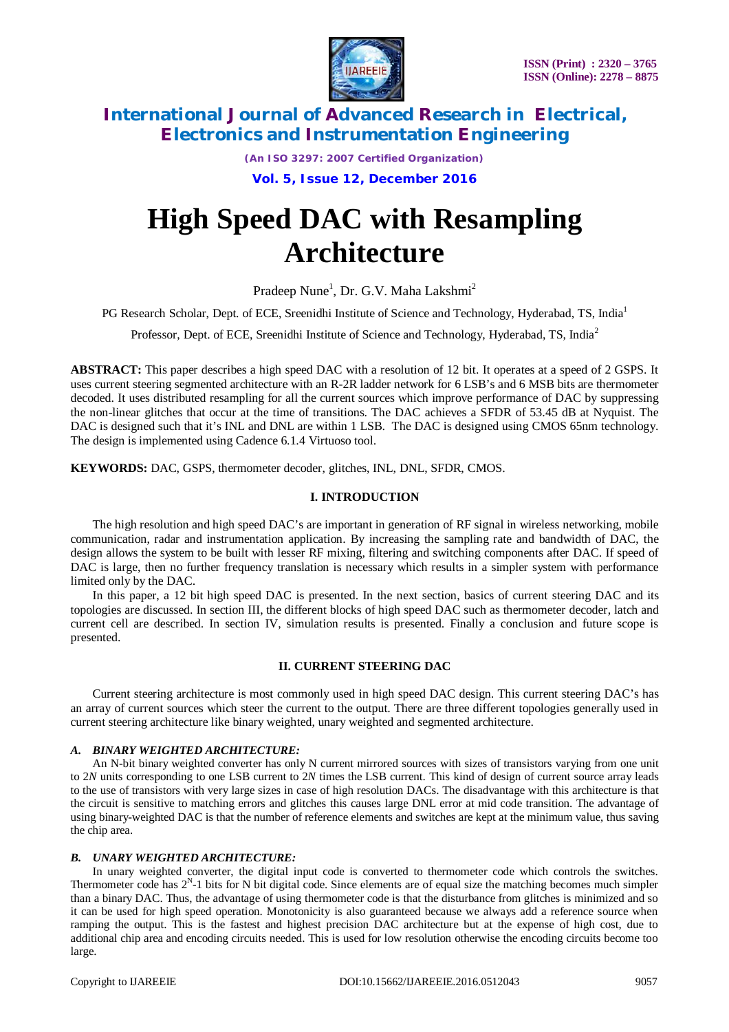

*(An ISO 3297: 2007 Certified Organization)*

**Vol. 5, Issue 12, December 2016**

# **High Speed DAC with Resampling Architecture**

Pradeep Nune<sup>1</sup>, Dr. G.V. Maha Lakshmi<sup>2</sup>

PG Research Scholar, Dept. of ECE, Sreenidhi Institute of Science and Technology, Hyderabad, TS, India<sup>1</sup>

Professor, Dept. of ECE, Sreenidhi Institute of Science and Technology, Hyderabad, TS, India<sup>2</sup>

**ABSTRACT:** This paper describes a high speed DAC with a resolution of 12 bit. It operates at a speed of 2 GSPS. It uses current steering segmented architecture with an R-2R ladder network for 6 LSB's and 6 MSB bits are thermometer decoded. It uses distributed resampling for all the current sources which improve performance of DAC by suppressing the non-linear glitches that occur at the time of transitions. The DAC achieves a SFDR of 53.45 dB at Nyquist. The DAC is designed such that it's INL and DNL are within 1 LSB. The DAC is designed using CMOS 65nm technology. The design is implemented using Cadence 6.1.4 Virtuoso tool.

**KEYWORDS:** DAC, GSPS, thermometer decoder, glitches, INL, DNL, SFDR, CMOS.

### **I. INTRODUCTION**

The high resolution and high speed DAC's are important in generation of RF signal in wireless networking, mobile communication, radar and instrumentation application. By increasing the sampling rate and bandwidth of DAC, the design allows the system to be built with lesser RF mixing, filtering and switching components after DAC. If speed of DAC is large, then no further frequency translation is necessary which results in a simpler system with performance limited only by the DAC.

In this paper, a 12 bit high speed DAC is presented. In the next section, basics of current steering DAC and its topologies are discussed. In section III, the different blocks of high speed DAC such as thermometer decoder, latch and current cell are described. In section IV, simulation results is presented. Finally a conclusion and future scope is presented.

### **II. CURRENT STEERING DAC**

Current steering architecture is most commonly used in high speed DAC design. This current steering DAC's has an array of current sources which steer the current to the output. There are three different topologies generally used in current steering architecture like binary weighted, unary weighted and segmented architecture.

### *A. BINARY WEIGHTED ARCHITECTURE:*

An N-bit binary weighted converter has only N current mirrored sources with sizes of transistors varying from one unit to 2*N* units corresponding to one LSB current to 2*N* times the LSB current. This kind of design of current source array leads to the use of transistors with very large sizes in case of high resolution DACs. The disadvantage with this architecture is that the circuit is sensitive to matching errors and glitches this causes large DNL error at mid code transition. The advantage of using binary-weighted DAC is that the number of reference elements and switches are kept at the minimum value, thus saving the chip area.

### *B. UNARY WEIGHTED ARCHITECTURE:*

In unary weighted converter, the digital input code is converted to thermometer code which controls the switches. Thermometer code has  $2^N$ -1 bits for N bit digital code. Since elements are of equal size the matching becomes much simpler than a binary DAC. Thus, the advantage of using thermometer code is that the disturbance from glitches is minimized and so it can be used for high speed operation. Monotonicity is also guaranteed because we always add a reference source when ramping the output. This is the fastest and highest precision DAC architecture but at the expense of high cost, due to additional chip area and encoding circuits needed. This is used for low resolution otherwise the encoding circuits become too large.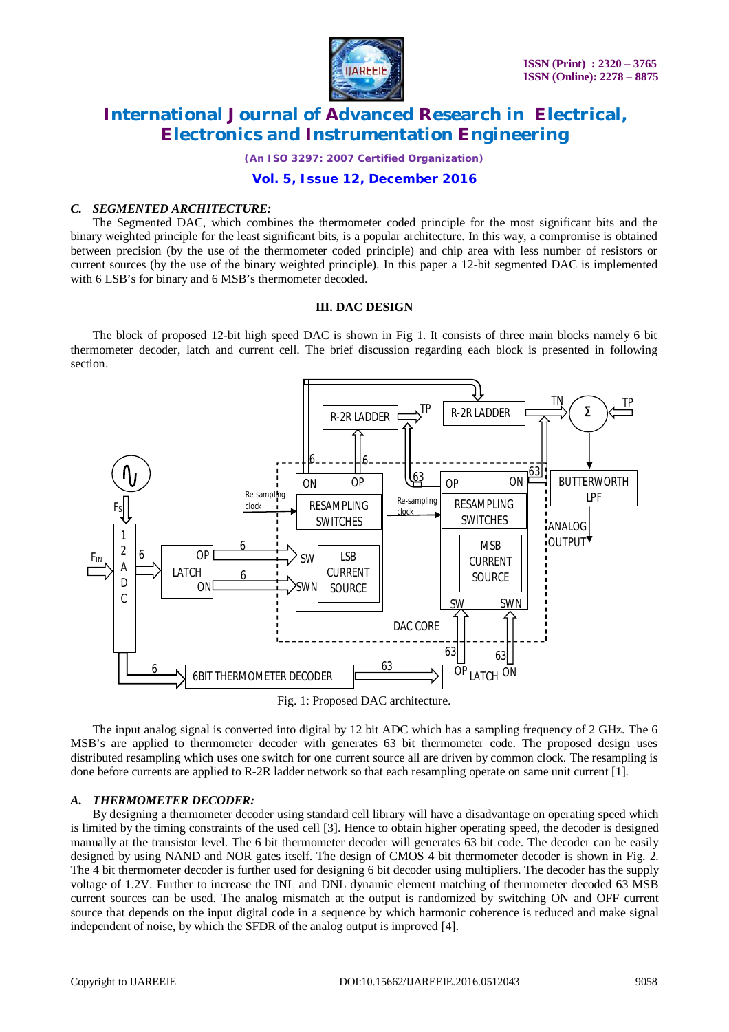

*(An ISO 3297: 2007 Certified Organization)*

### **Vol. 5, Issue 12, December 2016**

### *C. SEGMENTED ARCHITECTURE:*

The Segmented DAC, which combines the thermometer coded principle for the most significant bits and the binary weighted principle for the least significant bits, is a popular architecture. In this way, a compromise is obtained between precision (by the use of the thermometer coded principle) and chip area with less number of resistors or current sources (by the use of the binary weighted principle). In this paper a 12-bit segmented DAC is implemented with 6 LSB's for binary and 6 MSB's thermometer decoded.

#### **III. DAC DESIGN**

The block of proposed 12-bit high speed DAC is shown in Fig 1. It consists of three main blocks namely 6 bit thermometer decoder, latch and current cell. The brief discussion regarding each block is presented in following section.





The input analog signal is converted into digital by 12 bit ADC which has a sampling frequency of 2 GHz. The 6 MSB's are applied to thermometer decoder with generates 63 bit thermometer code. The proposed design uses distributed resampling which uses one switch for one current source all are driven by common clock. The resampling is done before currents are applied to R-2R ladder network so that each resampling operate on same unit current [1].

### *A. THERMOMETER DECODER:*

By designing a thermometer decoder using standard cell library will have a disadvantage on operating speed which is limited by the timing constraints of the used cell [3]. Hence to obtain higher operating speed, the decoder is designed manually at the transistor level. The 6 bit thermometer decoder will generates 63 bit code. The decoder can be easily designed by using NAND and NOR gates itself. The design of CMOS 4 bit thermometer decoder is shown in Fig. 2. The 4 bit thermometer decoder is further used for designing 6 bit decoder using multipliers. The decoder has the supply voltage of 1.2V. Further to increase the INL and DNL dynamic element matching of thermometer decoded 63 MSB current sources can be used. The analog mismatch at the output is randomized by switching ON and OFF current source that depends on the input digital code in a sequence by which harmonic coherence is reduced and make signal independent of noise, by which the SFDR of the analog output is improved [4].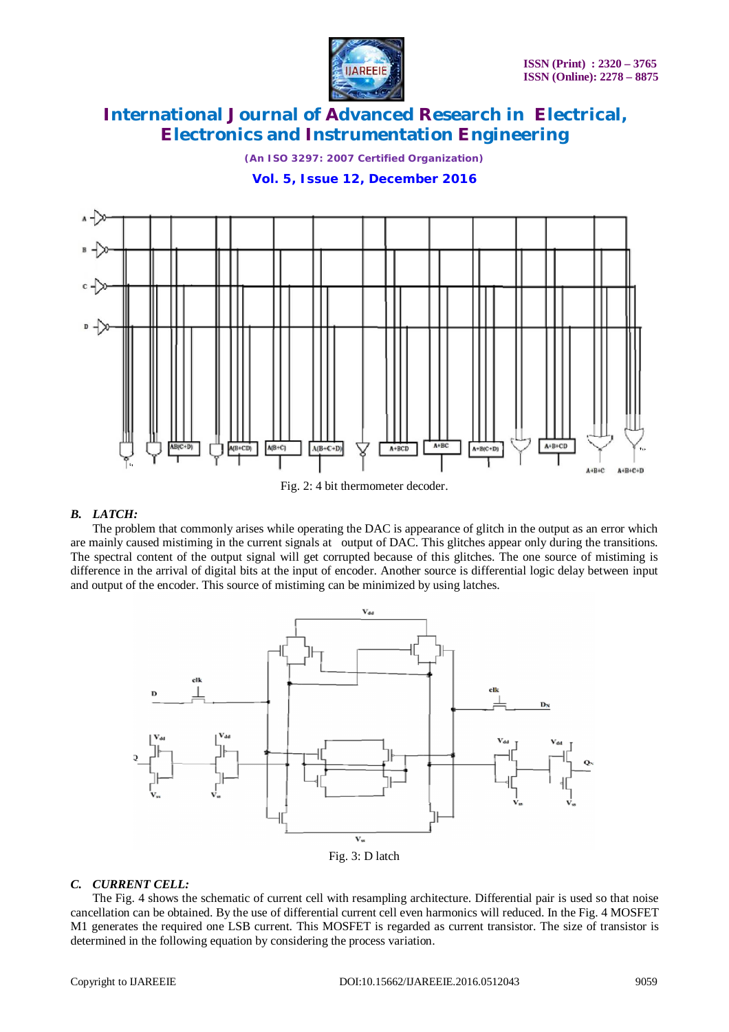

*(An ISO 3297: 2007 Certified Organization)*

**Vol. 5, Issue 12, December 2016**



Fig. 2: 4 bit thermometer decoder.

### *B. LATCH:*

The problem that commonly arises while operating the DAC is appearance of glitch in the output as an error which are mainly caused mistiming in the current signals at output of DAC. This glitches appear only during the transitions. The spectral content of the output signal will get corrupted because of this glitches. The one source of mistiming is difference in the arrival of digital bits at the input of encoder. Another source is differential logic delay between input and output of the encoder. This source of mistiming can be minimized by using latches.



### *C. CURRENT CELL:*

The Fig. 4 shows the schematic of current cell with resampling architecture. Differential pair is used so that noise cancellation can be obtained. By the use of differential current cell even harmonics will reduced. In the Fig. 4 MOSFET M1 generates the required one LSB current. This MOSFET is regarded as current transistor. The size of transistor is determined in the following equation by considering the process variation.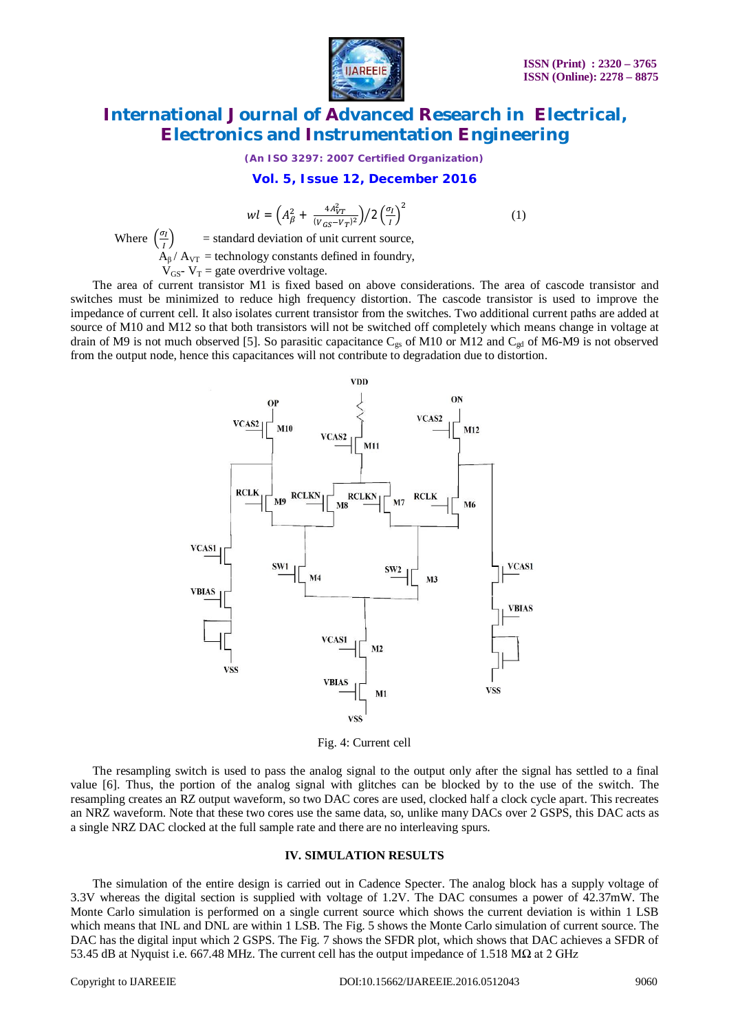

*(An ISO 3297: 2007 Certified Organization)*

#### **Vol. 5, Issue 12, December 2016**

$$
wl = \left(A_{\beta}^2 + \frac{4A_{VT}^2}{(v_{GS} - v_T)^2}\right) / 2\left(\frac{\sigma_I}{I}\right)^2\tag{1}
$$

Where  $\left(\frac{\sigma_I}{\sigma_I}\right)$ ூ = standard deviation of unit current source,  $A_{\beta}$  /  $A_{\text{VT}}$  = technology constants defined in foundry,

 $V_{GS}$ -  $V_T$  = gate overdrive voltage.

The area of current transistor M1 is fixed based on above considerations. The area of cascode transistor and switches must be minimized to reduce high frequency distortion. The cascode transistor is used to improve the impedance of current cell. It also isolates current transistor from the switches. Two additional current paths are added at source of M10 and M12 so that both transistors will not be switched off completely which means change in voltage at drain of M9 is not much observed [5]. So parasitic capacitance  $C_{gs}$  of M10 or M12 and  $C_{gd}$  of M6-M9 is not observed from the output node, hence this capacitances will not contribute to degradation due to distortion.



Fig. 4: Current cell

The resampling switch is used to pass the analog signal to the output only after the signal has settled to a final value [6]. Thus, the portion of the analog signal with glitches can be blocked by to the use of the switch. The resampling creates an RZ output waveform, so two DAC cores are used, clocked half a clock cycle apart. This recreates an NRZ waveform. Note that these two cores use the same data, so, unlike many DACs over 2 GSPS, this DAC acts as a single NRZ DAC clocked at the full sample rate and there are no interleaving spurs.

#### **IV. SIMULATION RESULTS**

The simulation of the entire design is carried out in Cadence Specter. The analog block has a supply voltage of 3.3V whereas the digital section is supplied with voltage of 1.2V. The DAC consumes a power of 42.37mW. The Monte Carlo simulation is performed on a single current source which shows the current deviation is within 1 LSB which means that INL and DNL are within 1 LSB. The Fig. 5 shows the Monte Carlo simulation of current source. The DAC has the digital input which 2 GSPS. The Fig. 7 shows the SFDR plot, which shows that DAC achieves a SFDR of 53.45 dB at Nyquist i.e. 667.48 MHz. The current cell has the output impedance of 1.518 MΩ at 2 GHz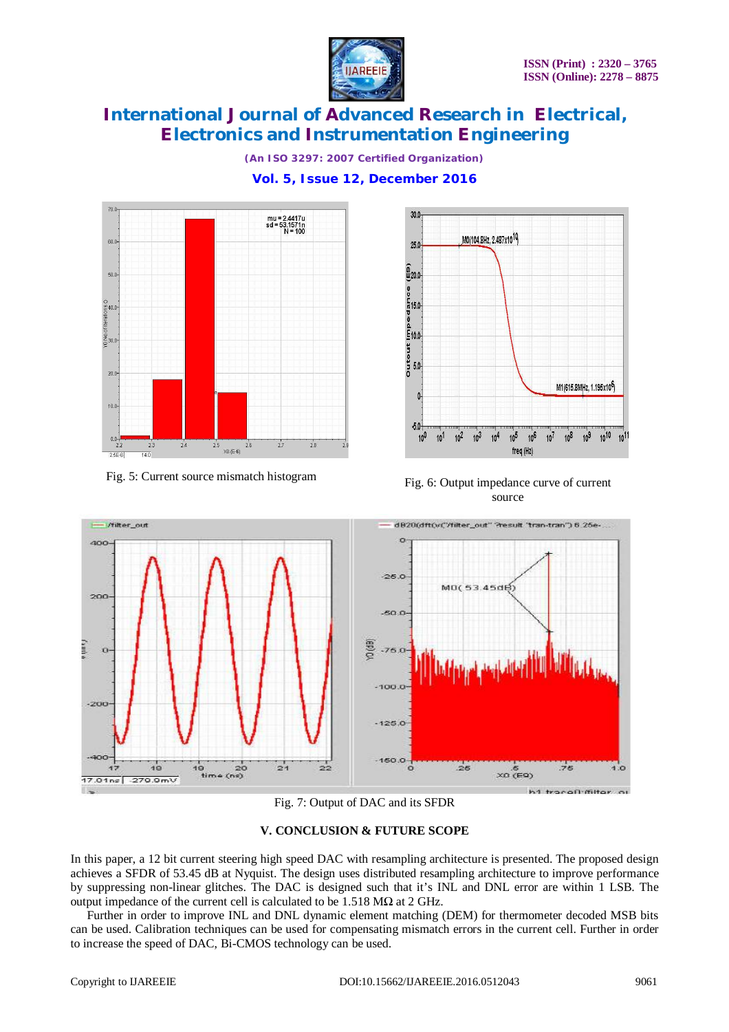

*(An ISO 3297: 2007 Certified Organization)* **Vol. 5, Issue 12, December 2016**





Fig. 5: Current source mismatch histogram Fig. 6: Output impedance curve of current source



Fig. 7: Output of DAC and its SFDR

### **V. CONCLUSION & FUTURE SCOPE**

In this paper, a 12 bit current steering high speed DAC with resampling architecture is presented. The proposed design achieves a SFDR of 53.45 dB at Nyquist. The design uses distributed resampling architecture to improve performance by suppressing non-linear glitches. The DAC is designed such that it's INL and DNL error are within 1 LSB. The output impedance of the current cell is calculated to be 1.518 MΩ at 2 GHz.

Further in order to improve INL and DNL dynamic element matching (DEM) for thermometer decoded MSB bits can be used. Calibration techniques can be used for compensating mismatch errors in the current cell. Further in order to increase the speed of DAC, Bi-CMOS technology can be used.